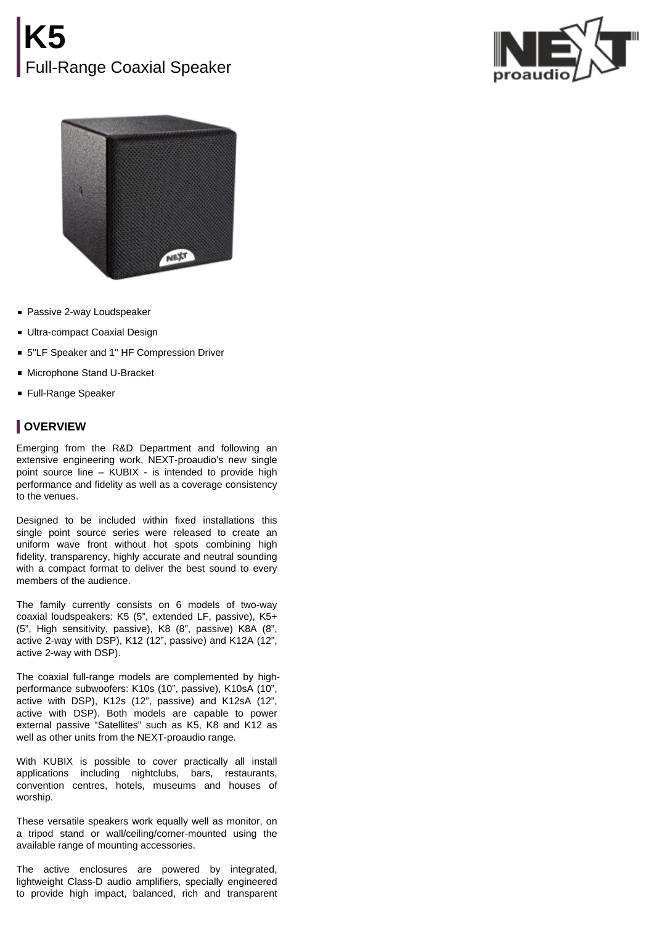



- **Passive 2-way Loudspeaker**
- **Ultra-compact Coaxial Design**
- 5"LF Speaker and 1" HF Compression Driver
- Microphone Stand U-Bracket
- **Full-Range Speaker**

## **OVERVIEW**

Emerging from the R&D Department and following an extensive engineering work, NEXT-proaudio's new single point source line – KUBIX - is intended to provide high performance and fidelity as well as a coverage consistency to the venues.

Designed to be included within fixed installations this single point source series were released to create an uniform wave front without hot spots combining high fidelity, transparency, highly accurate and neutral sounding with a compact format to deliver the best sound to every members of the audience.

The family currently consists on 6 models of two-way coaxial loudspeakers: K5 (5", extended LF, passive), K5+ (5", High sensitivity, passive), K8 (8", passive) K8A (8", active 2-way with DSP), K12 (12", passive) and K12A (12", active 2-way with DSP).

The coaxial full-range models are complemented by highperformance subwoofers: K10s (10", passive), K10sA (10", active with DSP), K12s (12", passive) and K12sA (12", active with DSP). Both models are capable to power external passive "Satellites" such as K5, K8 and K12 as well as other units from the NEXT-proaudio range.

With KUBIX is possible to cover practically all install applications including nightclubs, bars, restaurants, convention centres, hotels, museums and houses of worship.

These versatile speakers work equally well as monitor, on a tripod stand or wall/ceiling/corner-mounted using the available range of mounting accessories.

The active enclosures are powered by integrated, lightweight Class-D audio amplifiers, specially engineered to provide high impact, balanced, rich and transparent